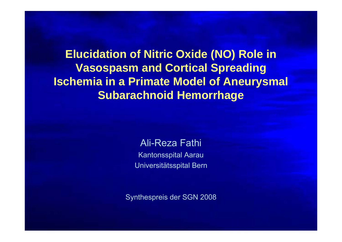**Elucidation of Nitric Oxide (NO) Role in Vasospasm and Cortical Spreading Ischemia in a Primate Model of Aneurysmal Subarachnoid Hemorrhage** 

> Ali-Reza Fathi Kantonsspital Aarau Universitätsspital Bern

Synthespreis der SGN 2008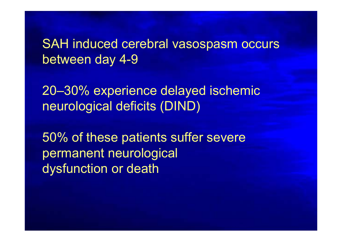SAH induced cerebral vasospasm occurs between day 4-9

20–30% experience delayed ischemic neurological deficits (DIND)

50% of these patients suffer severe permanent neurological dysfunction or death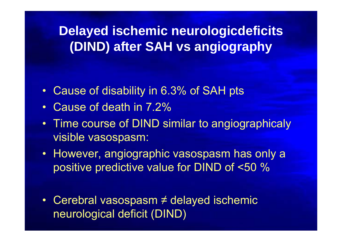**Delayed ischemic neurologicdeficits (DIND) after SAH vs angiography**

- $\bullet$ Cause of disability in 6.3% of SAH pts
- •Cause of death in 7.2%
- $\bullet$  Time course of DIND similar to angiographicaly visible vasospasm:
- However, angiographic vasospasm has only a positive predictive value for DIND of <50 %
- Cerebral vasospasm ≠ delayed ischemic neurological deficit (DIND)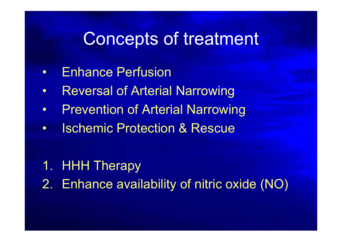#### Concepts of treatment

- $\bullet$ Enhance Perfusion
- •Reversal of Arterial Narrowing
- •Prevention of Arterial Narrowing
- $\bullet$ Ischemic Protection & Rescue

#### 1. HHH Therapy

2. Enhance availability of nitric oxide (NO)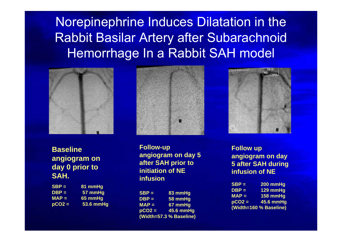Norepinephrine Induces Dilatation in the Rabbit Basilar Artery after Subarachnoid Hemorrhage In a Rabbit SAH model



**Baseline angiogram on day 0 prior to SAH.**

| $SBP =$  | 81 mmHg   |
|----------|-----------|
| DBP =    | 57 mmHg   |
| $MAP =$  | 65 mmHg   |
| $pCO2 =$ | 53.6 mmHg |



**Follow-up angiogram on day 5 after SAH prior to initiation of NE infusion**

**SBP = 83 mmHg DBP = 58 mmHg MAP = 67 mmHg pCO2 = 45.6 mmHg (Width=57.3 % Baseline)**



**Follow up angiogram on day 5 after SAH during infusion of NE**

| $SBP =$                | 200 mmHg           |
|------------------------|--------------------|
| DBP =                  | $129$ mmHg         |
| $MAP =$                | $158 \text{ mmHg}$ |
| $pCO2 =$               | 45.6 mmHg          |
| (Width=160 % Baseline) |                    |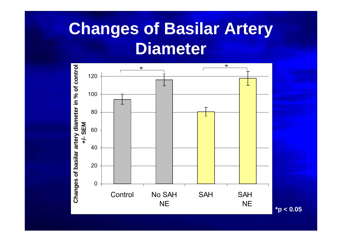# **Changes of Basilar Artery Diameter**



**\*p < 0.05**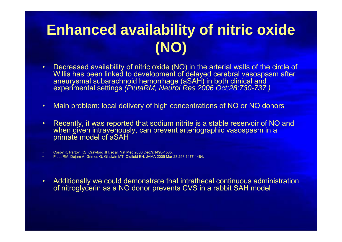### **Enhanced availability of nitric oxide (NO)**

- • Decreased availability of nitric oxide (NO) in the arterial walls of the circle of Willis has been linked to development of delayed cerebral vasospasm after aneurysmal subarachnoid hemorrhage (aSAH) in both clinical and experimental settings *(PlutaRM, Neurol Res 2006 Oct;28:730-737 )*
- •Main problem: local delivery of high concentrations of NO or NO donors
- • Recently, it was reported that sodium nitrite is a stable reservoir of NO and when given intravenously, can prevent arteriographic vasospasm in a primate model of aSAH

•Cosby K, Partovi KS, Crawford JH, et al. Nat Med 2003 Dec;9:1498-1505.

•Pluta RM, Dejam A, Grimes G, Gladwin MT, Oldfield EH. JAMA 2005 Mar 23;293:1477-1484.

• Additionally we could demonstrate that intrathecal continuous administration of nitroglycerin as a NO donor prevents CVS in a rabbit SAH model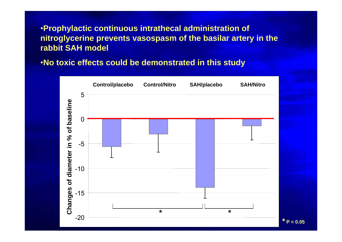•**Prophylactic continuous intrathecal administration of nitroglycerine prevents vasospasm of the basilar artery in the rabbit SAH model**

•**No toxic effects could be demonstrated in this study**

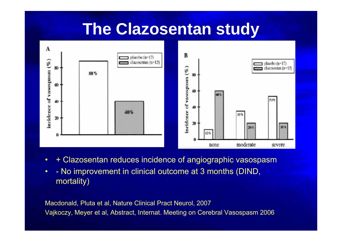#### **The Clazosentan study**



- $\bullet$ + Clazosentan reduces incidence of angiographic vasospasm
- • - No improvement in clinical outcome at 3 months (DIND, mortality)

Macdonald, Pluta et al, Nature Clinical Pract Neurol, 2007 Vajkoczy, Meyer et al, Abstract, Internat. Meeting on Cerebral Vasospasm 2006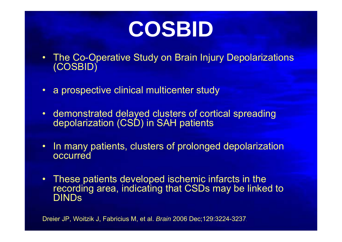

- • The Co-Operative Study on Brain Injury Depolarizations (COSBID)
- a prospective clinical multicenter study
- demonstrated delayed clusters of cortical spreading depolarization (CSD) in SAH patients
- • In many patients, clusters of prolonged depolarization occurred
- •These patients developed ischemic infarcts in the recording area, indicating that CSDs may be linked to DINDs

Dreier JP, Woitzik J, Fabricius M, et al. *Brain* 2006 Dec;129:3224-3237.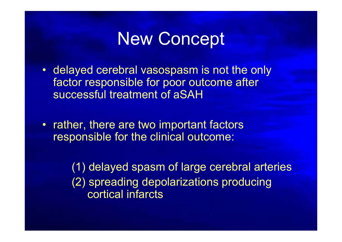### New Concept

- delayed cerebral vasospasm is not the only factor responsible for poor outcome after successful treatment of aSAH
- rather, there are two important factors responsible for the clinical outcome:

(1) delayed spasm of large cerebral arteries (2) spreading depolarizations producing cortical infarcts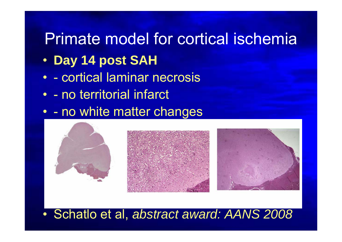### Primate model for cortical ischemia

- $\bullet$ **Day 14 post SAH**
- - cortical laminar necrosis
- - no territorial infarct
- - no white matter changes



 $\bullet$ Schatlo et al, *abstract award: AANS 2008*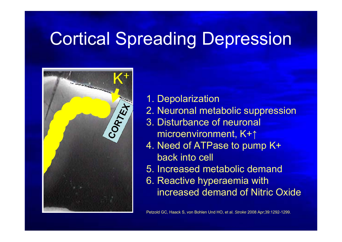# Cortical Spreading Depression



- 1. Depolarization
- 2. Neuronal metabolic suppression
- 3. Disturbance of neuronal microenvironment, K+ ↑
- 4. Need of ATPase to pump K+ back into cell
- 5. Increased metabolic demand
- 6. Reactive hyperaemia with increased demand of Nitric Oxide

Petzold GC, Haack S, von Bohlen Und HO, et al. *Stroke* 2008 Apr;39:1292-1299.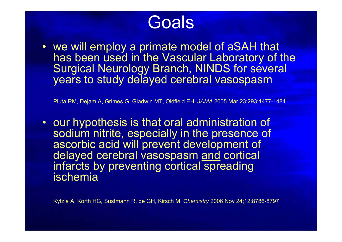# **Goals**

• we will employ a primate model of aSAH that has been used in the Vascular Laboratory of the Surgical Neurology Branch, NINDS for several years to study delayed cerebral vasospasm

Pluta RM, Dejam A, Grimes G, Gladwin MT, Oldfield EH. *JAMA* 2005 Mar 23;293:1477-1484

• our hypothesis is that oral administration of sodium nitrite, especially in the presence of ascorbic acid will prevent development of delayed cerebral vasospasm and cortical infarcts by preventing cortical spreading ischemia

Kytzia A, Korth HG, Sustmann R, de GH, Kirsch M. *Chemistry* 2006 Nov 24;12:8786-8797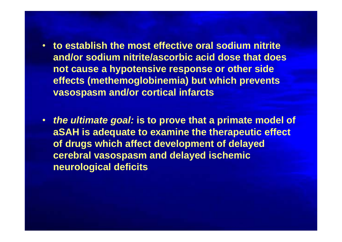- **to establish the most effective oral sodium nitrite and/or sodium nitrite/ascorbic acid dose that does not cause a hypotensive response or other side effects (methemoglobinemia) but which prevents vasospasm and/or cortical infarcts**
- *the ultimate goal:* **is to prove that a primate model of aSAH is adequate to examine the therapeutic effect of drugs which affect development of delayed cerebral vasospasm and delayed ischemic neurological deficits**